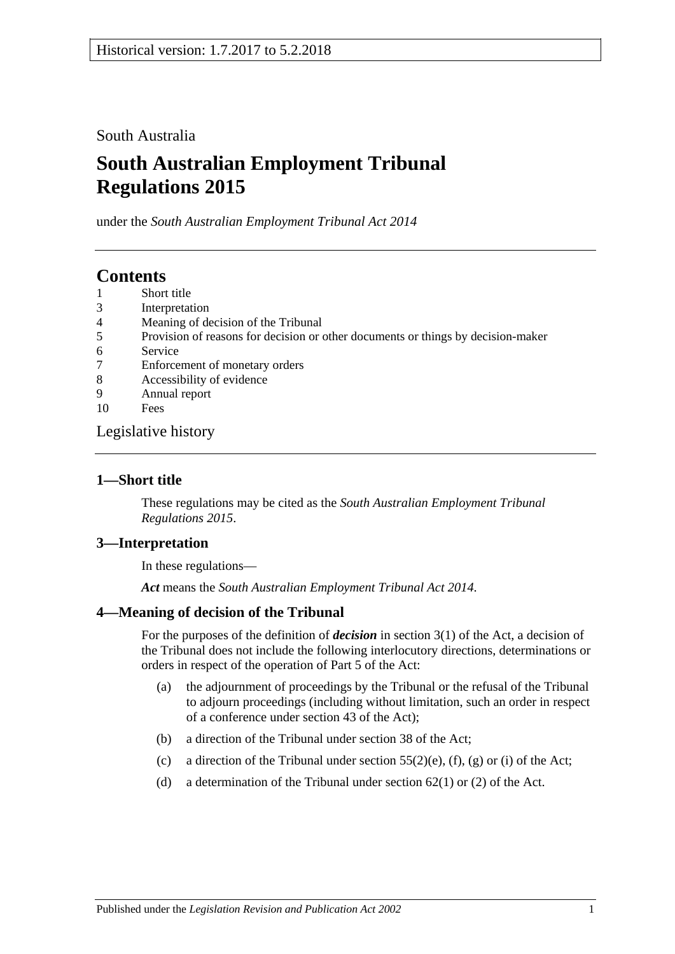South Australia

# **South Australian Employment Tribunal Regulations 2015**

under the *South Australian Employment Tribunal Act 2014*

## **Contents**

- 1 [Short title](#page-0-0)
- 3 [Interpretation](#page-0-1)
- 4 [Meaning of decision of the Tribunal](#page-0-2)
- 5 [Provision of reasons for decision or other documents or things by decision-maker](#page-1-0)
- 6 [Service](#page-1-1)
- 7 [Enforcement of monetary orders](#page-1-2)
- 8 [Accessibility of evidence](#page-1-3)
- 9 [Annual report](#page-2-0)
- 10 [Fees](#page-3-0)

[Legislative history](#page-4-0)

## <span id="page-0-0"></span>**1—Short title**

These regulations may be cited as the *South Australian Employment Tribunal Regulations 2015*.

## <span id="page-0-1"></span>**3—Interpretation**

In these regulations—

*Act* means the *[South Australian Employment Tribunal Act](http://www.legislation.sa.gov.au/index.aspx?action=legref&type=act&legtitle=South%20Australian%20Employment%20Tribunal%20Act%202014) 2014*.

#### <span id="page-0-2"></span>**4—Meaning of decision of the Tribunal**

For the purposes of the definition of *decision* in section 3(1) of the Act, a decision of the Tribunal does not include the following interlocutory directions, determinations or orders in respect of the operation of Part 5 of the Act:

- (a) the adjournment of proceedings by the Tribunal or the refusal of the Tribunal to adjourn proceedings (including without limitation, such an order in respect of a conference under section 43 of the Act);
- (b) a direction of the Tribunal under section 38 of the Act;
- (c) a direction of the Tribunal under section  $55(2)$ (e), (f), (g) or (i) of the Act;
- (d) a determination of the Tribunal under section 62(1) or (2) of the Act.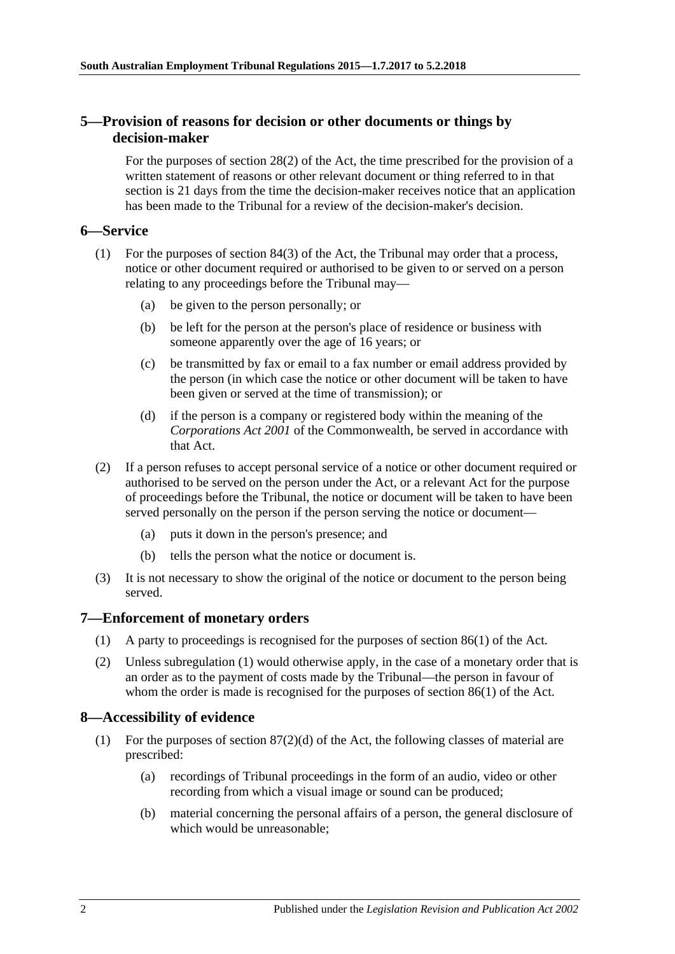### <span id="page-1-0"></span>**5—Provision of reasons for decision or other documents or things by decision-maker**

For the purposes of section 28(2) of the Act, the time prescribed for the provision of a written statement of reasons or other relevant document or thing referred to in that section is 21 days from the time the decision-maker receives notice that an application has been made to the Tribunal for a review of the decision-maker's decision.

### <span id="page-1-1"></span>**6—Service**

- (1) For the purposes of section 84(3) of the Act, the Tribunal may order that a process, notice or other document required or authorised to be given to or served on a person relating to any proceedings before the Tribunal may—
	- (a) be given to the person personally; or
	- (b) be left for the person at the person's place of residence or business with someone apparently over the age of 16 years; or
	- (c) be transmitted by fax or email to a fax number or email address provided by the person (in which case the notice or other document will be taken to have been given or served at the time of transmission); or
	- (d) if the person is a company or registered body within the meaning of the *Corporations Act 2001* of the Commonwealth, be served in accordance with that Act.
- (2) If a person refuses to accept personal service of a notice or other document required or authorised to be served on the person under the Act, or a relevant Act for the purpose of proceedings before the Tribunal, the notice or document will be taken to have been served personally on the person if the person serving the notice or document—
	- (a) puts it down in the person's presence; and
	- (b) tells the person what the notice or document is.
- (3) It is not necessary to show the original of the notice or document to the person being served.

#### <span id="page-1-4"></span><span id="page-1-2"></span>**7—Enforcement of monetary orders**

- (1) A party to proceedings is recognised for the purposes of section 86(1) of the Act.
- (2) Unless [subregulation](#page-1-4) (1) would otherwise apply, in the case of a monetary order that is an order as to the payment of costs made by the Tribunal—the person in favour of whom the order is made is recognised for the purposes of section 86(1) of the Act.

#### <span id="page-1-3"></span>**8—Accessibility of evidence**

- (1) For the purposes of section  $87(2)(d)$  of the Act, the following classes of material are prescribed:
	- (a) recordings of Tribunal proceedings in the form of an audio, video or other recording from which a visual image or sound can be produced;
	- (b) material concerning the personal affairs of a person, the general disclosure of which would be unreasonable;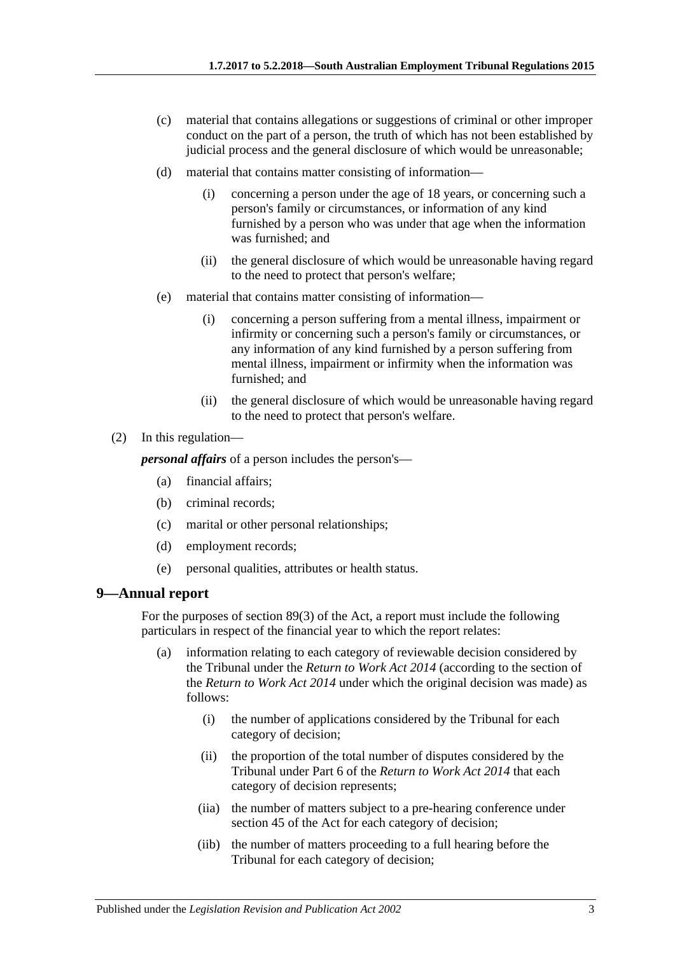- (c) material that contains allegations or suggestions of criminal or other improper conduct on the part of a person, the truth of which has not been established by judicial process and the general disclosure of which would be unreasonable;
- (d) material that contains matter consisting of information—
	- (i) concerning a person under the age of 18 years, or concerning such a person's family or circumstances, or information of any kind furnished by a person who was under that age when the information was furnished; and
	- (ii) the general disclosure of which would be unreasonable having regard to the need to protect that person's welfare;
- (e) material that contains matter consisting of information—
	- (i) concerning a person suffering from a mental illness, impairment or infirmity or concerning such a person's family or circumstances, or any information of any kind furnished by a person suffering from mental illness, impairment or infirmity when the information was furnished; and
	- (ii) the general disclosure of which would be unreasonable having regard to the need to protect that person's welfare.
- (2) In this regulation—

*personal affairs* of a person includes the person's—

- (a) financial affairs;
- (b) criminal records;
- (c) marital or other personal relationships;
- (d) employment records;
- (e) personal qualities, attributes or health status.

#### <span id="page-2-0"></span>**9—Annual report**

For the purposes of section 89(3) of the Act, a report must include the following particulars in respect of the financial year to which the report relates:

- (a) information relating to each category of reviewable decision considered by the Tribunal under the *[Return to Work Act](http://www.legislation.sa.gov.au/index.aspx?action=legref&type=act&legtitle=Return%20to%20Work%20Act%202014) 2014* (according to the section of the *[Return to Work Act](http://www.legislation.sa.gov.au/index.aspx?action=legref&type=act&legtitle=Return%20to%20Work%20Act%202014) 2014* under which the original decision was made) as follows:
	- (i) the number of applications considered by the Tribunal for each category of decision;
	- (ii) the proportion of the total number of disputes considered by the Tribunal under Part 6 of the *[Return to Work Act](http://www.legislation.sa.gov.au/index.aspx?action=legref&type=act&legtitle=Return%20to%20Work%20Act%202014) 2014* that each category of decision represents;
	- (iia) the number of matters subject to a pre-hearing conference under section 45 of the Act for each category of decision;
	- (iib) the number of matters proceeding to a full hearing before the Tribunal for each category of decision;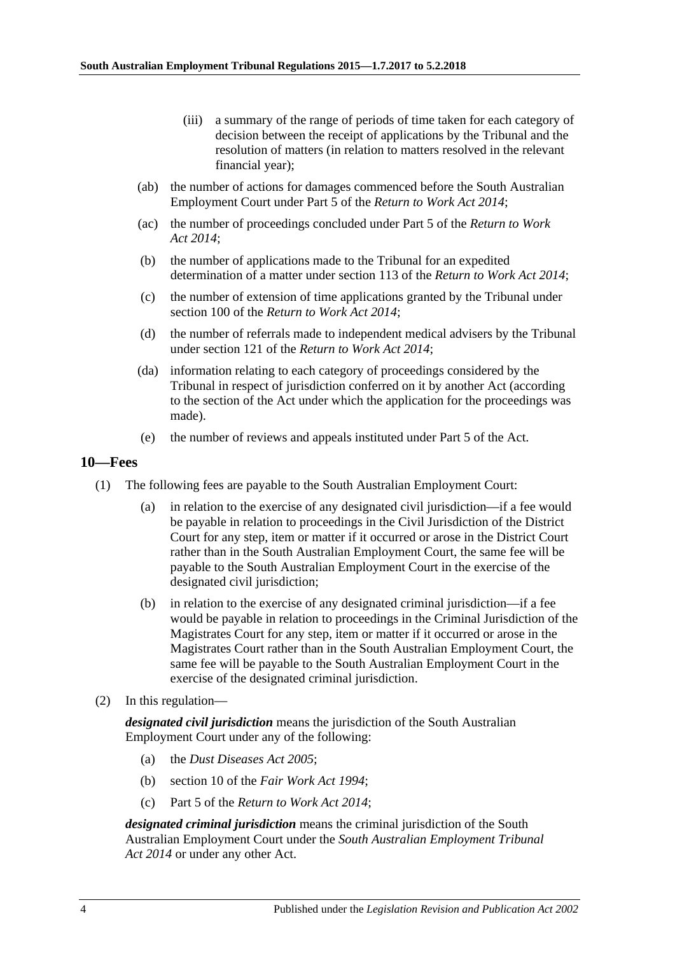- (iii) a summary of the range of periods of time taken for each category of decision between the receipt of applications by the Tribunal and the resolution of matters (in relation to matters resolved in the relevant financial year);
- (ab) the number of actions for damages commenced before the South Australian Employment Court under Part 5 of the *[Return to Work Act](http://www.legislation.sa.gov.au/index.aspx?action=legref&type=act&legtitle=Return%20to%20Work%20Act%202014) 2014*;
- (ac) the number of proceedings concluded under Part 5 of the *[Return to Work](http://www.legislation.sa.gov.au/index.aspx?action=legref&type=act&legtitle=Return%20to%20Work%20Act%202014)  Act [2014](http://www.legislation.sa.gov.au/index.aspx?action=legref&type=act&legtitle=Return%20to%20Work%20Act%202014)*;
- (b) the number of applications made to the Tribunal for an expedited determination of a matter under section 113 of the *Return [to Work Act](http://www.legislation.sa.gov.au/index.aspx?action=legref&type=act&legtitle=Return%20to%20Work%20Act%202014) 2014*;
- (c) the number of extension of time applications granted by the Tribunal under section 100 of the *[Return to Work Act](http://www.legislation.sa.gov.au/index.aspx?action=legref&type=act&legtitle=Return%20to%20Work%20Act%202014) 2014*;
- (d) the number of referrals made to independent medical advisers by the Tribunal under section 121 of the *[Return to Work Act](http://www.legislation.sa.gov.au/index.aspx?action=legref&type=act&legtitle=Return%20to%20Work%20Act%202014) 2014*;
- (da) information relating to each category of proceedings considered by the Tribunal in respect of jurisdiction conferred on it by another Act (according to the section of the Act under which the application for the proceedings was made).
- (e) the number of reviews and appeals instituted under Part 5 of the Act.

#### <span id="page-3-0"></span>**10—Fees**

- (1) The following fees are payable to the South Australian Employment Court:
	- (a) in relation to the exercise of any designated civil jurisdiction—if a fee would be payable in relation to proceedings in the Civil Jurisdiction of the District Court for any step, item or matter if it occurred or arose in the District Court rather than in the South Australian Employment Court, the same fee will be payable to the South Australian Employment Court in the exercise of the designated civil jurisdiction;
	- (b) in relation to the exercise of any designated criminal jurisdiction—if a fee would be payable in relation to proceedings in the Criminal Jurisdiction of the Magistrates Court for any step, item or matter if it occurred or arose in the Magistrates Court rather than in the South Australian Employment Court, the same fee will be payable to the South Australian Employment Court in the exercise of the designated criminal jurisdiction.
- (2) In this regulation—

*designated civil jurisdiction* means the jurisdiction of the South Australian Employment Court under any of the following:

- (a) the *[Dust Diseases Act 2005](http://www.legislation.sa.gov.au/index.aspx?action=legref&type=act&legtitle=Dust%20Diseases%20Act%202005)*;
- (b) section 10 of the *[Fair Work Act 1994](http://www.legislation.sa.gov.au/index.aspx?action=legref&type=act&legtitle=Fair%20Work%20Act%201994)*;
- (c) Part 5 of the *[Return to Work Act 2014](http://www.legislation.sa.gov.au/index.aspx?action=legref&type=act&legtitle=Return%20to%20Work%20Act%202014)*;

*designated criminal jurisdiction* means the criminal jurisdiction of the South Australian Employment Court under the *[South Australian Employment Tribunal](http://www.legislation.sa.gov.au/index.aspx?action=legref&type=act&legtitle=South%20Australian%20Employment%20Tribunal%20Act%202014)  Act [2014](http://www.legislation.sa.gov.au/index.aspx?action=legref&type=act&legtitle=South%20Australian%20Employment%20Tribunal%20Act%202014)* or under any other Act.